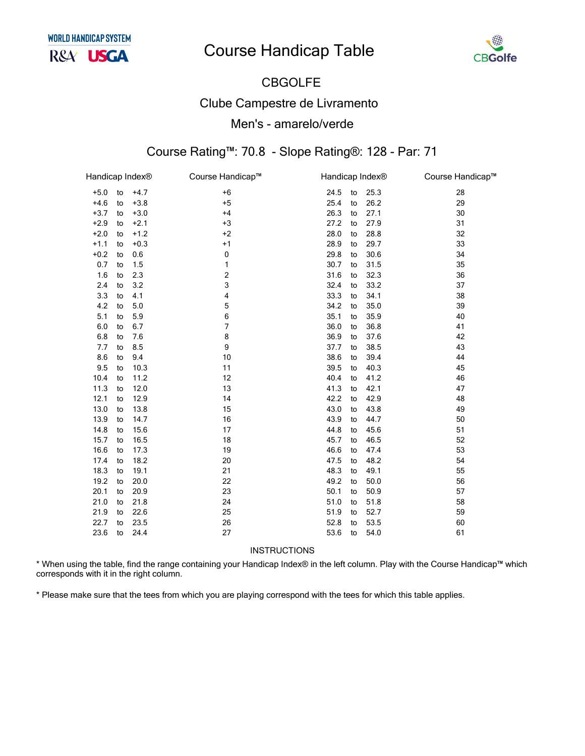

# **CBGOLFE Clube Campestre de Livramento** Men's - amarelo/verde

#### Course Rating™: 70.8 - Slope Rating®: 128 - Par: 71

| Handicap Index® |    |        | Course Handicap™ |      | Handicap Index <sup>®</sup> |      | Course Handicap™ |
|-----------------|----|--------|------------------|------|-----------------------------|------|------------------|
| $+5.0$          | to | $+4.7$ | $+6$             | 24.5 | to                          | 25.3 | 28               |
| $+4.6$          | to | $+3.8$ | $+5$             | 25.4 | to                          | 26.2 | 29               |
| $+3.7$          | to | $+3.0$ | $+4$             | 26.3 | to                          | 27.1 | 30               |
| $+2.9$          | to | $+2.1$ | $+3$             | 27.2 | to                          | 27.9 | 31               |
| $+2.0$          | to | $+1.2$ | $+2$             | 28.0 | to                          | 28.8 | 32               |
| $+1.1$          | to | $+0.3$ | $+1$             | 28.9 | to                          | 29.7 | 33               |
| $+0.2$          | to | 0.6    | 0                | 29.8 | to                          | 30.6 | 34               |
| 0.7             | to | 1.5    | 1                | 30.7 | to                          | 31.5 | 35               |
| 1.6             | to | 2.3    | 2                | 31.6 | to                          | 32.3 | 36               |
| 2.4             | to | 3.2    | 3                | 32.4 | to                          | 33.2 | 37               |
| 3.3             | to | 4.1    | 4                | 33.3 | to                          | 34.1 | 38               |
| 4.2             | to | 5.0    | 5                | 34.2 | to                          | 35.0 | 39               |
| 5.1             | to | 5.9    | 6                | 35.1 | to                          | 35.9 | 40               |
| 6.0             | to | 6.7    | 7                | 36.0 | to                          | 36.8 | 41               |
| 6.8             | to | 7.6    | 8                | 36.9 | to                          | 37.6 | 42               |
| 7.7             | to | 8.5    | 9                | 37.7 | to                          | 38.5 | 43               |
| 8.6             | to | 9.4    | 10               | 38.6 | to                          | 39.4 | 44               |
| 9.5             | to | 10.3   | 11               | 39.5 | to                          | 40.3 | 45               |
| 10.4            | to | 11.2   | 12               | 40.4 | to                          | 41.2 | 46               |
| 11.3            | to | 12.0   | 13               | 41.3 | to                          | 42.1 | 47               |
| 12.1            | to | 12.9   | 14               | 42.2 | to                          | 42.9 | 48               |
| 13.0            | to | 13.8   | 15               | 43.0 | to                          | 43.8 | 49               |
| 13.9            | to | 14.7   | 16               | 43.9 | to                          | 44.7 | 50               |
| 14.8            | to | 15.6   | 17               | 44.8 | to                          | 45.6 | 51               |
| 15.7            | to | 16.5   | 18               | 45.7 | to                          | 46.5 | 52               |
| 16.6            | to | 17.3   | 19               | 46.6 | to                          | 47.4 | 53               |
| 17.4            | to | 18.2   | 20               | 47.5 | to                          | 48.2 | 54               |
| 18.3            | to | 19.1   | 21               | 48.3 | to                          | 49.1 | 55               |
| 19.2            | to | 20.0   | 22               | 49.2 | to                          | 50.0 | 56               |
| 20.1            | to | 20.9   | 23               | 50.1 | to                          | 50.9 | 57               |
| 21.0            | to | 21.8   | 24               | 51.0 | to                          | 51.8 | 58               |
| 21.9            | to | 22.6   | 25               | 51.9 | to                          | 52.7 | 59               |
| 22.7            | to | 23.5   | 26               | 52.8 | to                          | 53.5 | 60               |
| 23.6            | to | 24.4   | 27               | 53.6 | to                          | 54.0 | 61               |

**INSTRUCTIONS** 

\* When using the table, find the range containing your Handicap Index® in the left column. Play with the Course Handicap™ which corresponds with it in the right column.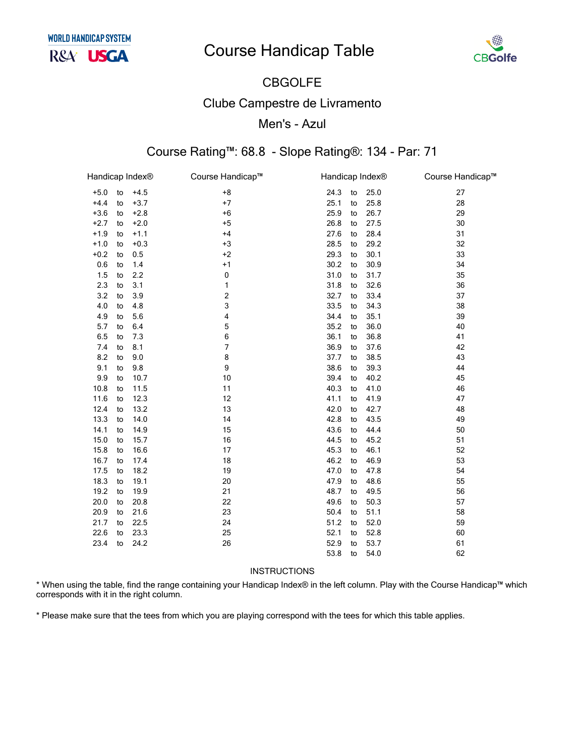

## CBGOLFE Clube Campestre de Livramento Men's - Azul

#### Course Rating™: 68.8 - Slope Rating®: 134 - Par: 71

| Handicap Index® |    |        | Course Handicap™ | Handicap Index® |    |      | Course Handicap™ |
|-----------------|----|--------|------------------|-----------------|----|------|------------------|
| $+5.0$          | to | $+4.5$ | $+8$             | 24.3            | to | 25.0 | 27               |
| $+4.4$          | to | $+3.7$ | $+7$             | 25.1            | to | 25.8 | 28               |
| $+3.6$          | to | $+2.8$ | $+6$             | 25.9            | to | 26.7 | 29               |
| $+2.7$          | to | $+2.0$ | $+5$             | 26.8            | to | 27.5 | 30               |
| $+1.9$          | to | $+1.1$ | $+4$             | 27.6            | to | 28.4 | 31               |
| $+1.0$          | to | $+0.3$ | $+3$             | 28.5            | to | 29.2 | 32               |
| $+0.2$          | to | 0.5    | $+2$             | 29.3            | to | 30.1 | 33               |
| 0.6             | to | 1.4    | $+1$             | 30.2            | to | 30.9 | 34               |
| 1.5             | to | 2.2    | 0                | 31.0            | to | 31.7 | 35               |
| 2.3             | to | 3.1    | 1                | 31.8            | to | 32.6 | 36               |
| 3.2             | to | 3.9    | 2                | 32.7            | to | 33.4 | 37               |
| 4.0             | to | 4.8    | 3                | 33.5            | to | 34.3 | 38               |
| 4.9             | to | 5.6    | 4                | 34.4            | to | 35.1 | 39               |
| 5.7             | to | 6.4    | 5                | 35.2            | to | 36.0 | 40               |
| 6.5             | to | 7.3    | 6                | 36.1            | to | 36.8 | 41               |
| 7.4             | to | 8.1    | $\overline{7}$   | 36.9            | to | 37.6 | 42               |
| 8.2             | to | 9.0    | 8                | 37.7            | to | 38.5 | 43               |
| 9.1             | to | 9.8    | 9                | 38.6            | to | 39.3 | 44               |
| 9.9             | to | 10.7   | 10               | 39.4            | to | 40.2 | 45               |
| 10.8            | to | 11.5   | 11               | 40.3            | to | 41.0 | 46               |
| 11.6            | to | 12.3   | 12               | 41.1            | to | 41.9 | 47               |
| 12.4            | to | 13.2   | 13               | 42.0            | to | 42.7 | 48               |
| 13.3            | to | 14.0   | 14               | 42.8            | to | 43.5 | 49               |
| 14.1            | to | 14.9   | 15               | 43.6            | to | 44.4 | 50               |
| 15.0            | to | 15.7   | 16               | 44.5            | to | 45.2 | 51               |
| 15.8            | to | 16.6   | 17               | 45.3            | to | 46.1 | 52               |
| 16.7            | to | 17.4   | 18               | 46.2            | to | 46.9 | 53               |
| 17.5            | to | 18.2   | 19               | 47.0            | to | 47.8 | 54               |
| 18.3            | to | 19.1   | 20               | 47.9            | to | 48.6 | 55               |
| 19.2            | to | 19.9   | 21               | 48.7            | to | 49.5 | 56               |
| 20.0            | to | 20.8   | 22               | 49.6            | to | 50.3 | 57               |
| 20.9            | to | 21.6   | 23               | 50.4            | to | 51.1 | 58               |
| 21.7            | to | 22.5   | 24               | 51.2            | to | 52.0 | 59               |
| 22.6            | to | 23.3   | 25               | 52.1            | to | 52.8 | 60               |
| 23.4            | to | 24.2   | 26               | 52.9            | to | 53.7 | 61               |
|                 |    |        |                  | 53.8            | to | 54.0 | 62               |

#### INSTRUCTIONS

\* When using the table, find the range containing your Handicap Index® in the left column. Play with the Course Handicap™ which corresponds with it in the right column.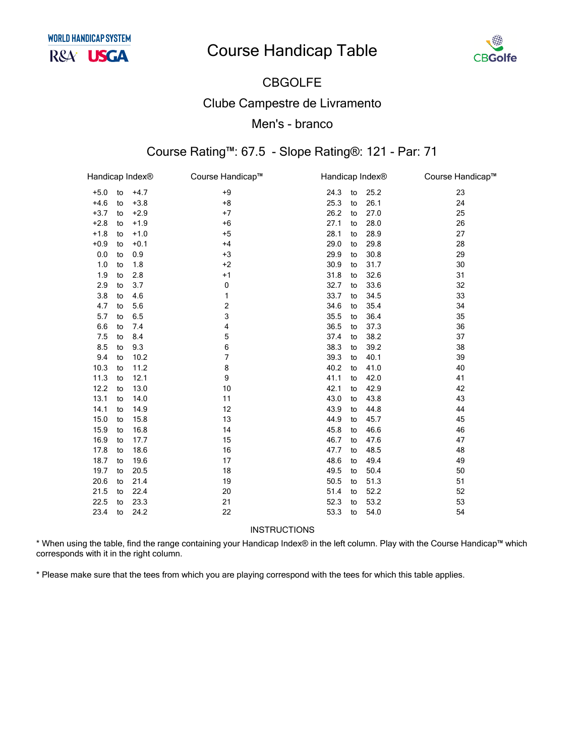

## CBGOLFE Clube Campestre de Livramento Men's - branco

#### Course Rating™: 67.5 - Slope Rating®: 121 - Par: 71

| Handicap Index <sup>®</sup> |    |        | Course Handicap™ |      | Handicap Index <sup>®</sup> |      | Course Handicap™ |
|-----------------------------|----|--------|------------------|------|-----------------------------|------|------------------|
| $+5.0$                      | to | $+4.7$ | $+9$             | 24.3 | to                          | 25.2 | 23               |
| $+4.6$                      | to | $+3.8$ | $+8$             | 25.3 | to                          | 26.1 | 24               |
| $+3.7$                      | to | $+2.9$ | $+7$             | 26.2 | to                          | 27.0 | 25               |
| $+2.8$                      | to | $+1.9$ | $+6$             | 27.1 | to                          | 28.0 | 26               |
| $+1.8$                      | to | $+1.0$ | $+5$             | 28.1 | to                          | 28.9 | 27               |
| $+0.9$                      | to | $+0.1$ | $+4$             | 29.0 | to                          | 29.8 | 28               |
| 0.0                         | to | 0.9    | $+3$             | 29.9 | to                          | 30.8 | 29               |
| 1.0                         | to | 1.8    | $+2$             | 30.9 | to                          | 31.7 | 30               |
| 1.9                         | to | 2.8    | $+1$             | 31.8 | to                          | 32.6 | 31               |
| 2.9                         | to | 3.7    | 0                | 32.7 | to                          | 33.6 | 32               |
| 3.8                         | to | 4.6    | 1                | 33.7 | to                          | 34.5 | 33               |
| 4.7                         | to | 5.6    | $\overline{c}$   | 34.6 | to                          | 35.4 | 34               |
| 5.7                         | to | 6.5    | 3                | 35.5 | to                          | 36.4 | 35               |
| 6.6                         | to | 7.4    | 4                | 36.5 | to                          | 37.3 | 36               |
| 7.5                         | to | 8.4    | 5                | 37.4 | to                          | 38.2 | 37               |
| 8.5                         | to | 9.3    | 6                | 38.3 | to                          | 39.2 | 38               |
| 9.4                         | to | 10.2   | 7                | 39.3 | to                          | 40.1 | 39               |
| 10.3                        | to | 11.2   | 8                | 40.2 | to                          | 41.0 | 40               |
| 11.3                        | to | 12.1   | 9                | 41.1 | to                          | 42.0 | 41               |
| 12.2                        | to | 13.0   | 10               | 42.1 | to                          | 42.9 | 42               |
| 13.1                        | to | 14.0   | 11               | 43.0 | to                          | 43.8 | 43               |
| 14.1                        | to | 14.9   | 12               | 43.9 | to                          | 44.8 | 44               |
| 15.0                        | to | 15.8   | 13               | 44.9 | to                          | 45.7 | 45               |
| 15.9                        | to | 16.8   | 14               | 45.8 | to                          | 46.6 | 46               |
| 16.9                        | to | 17.7   | 15               | 46.7 | to                          | 47.6 | 47               |
| 17.8                        | to | 18.6   | 16               | 47.7 | to                          | 48.5 | 48               |
| 18.7                        | to | 19.6   | 17               | 48.6 | to                          | 49.4 | 49               |
| 19.7                        | to | 20.5   | 18               | 49.5 | to                          | 50.4 | 50               |
| 20.6                        | to | 21.4   | 19               | 50.5 | to                          | 51.3 | 51               |
| 21.5                        | to | 22.4   | 20               | 51.4 | to                          | 52.2 | 52               |
| 22.5                        | to | 23.3   | 21               | 52.3 | to                          | 53.2 | 53               |
| 23.4                        | to | 24.2   | 22               | 53.3 | to                          | 54.0 | 54               |

**INSTRUCTIONS** 

\* When using the table, find the range containing your Handicap Index® in the left column. Play with the Course Handicap™ which corresponds with it in the right column.